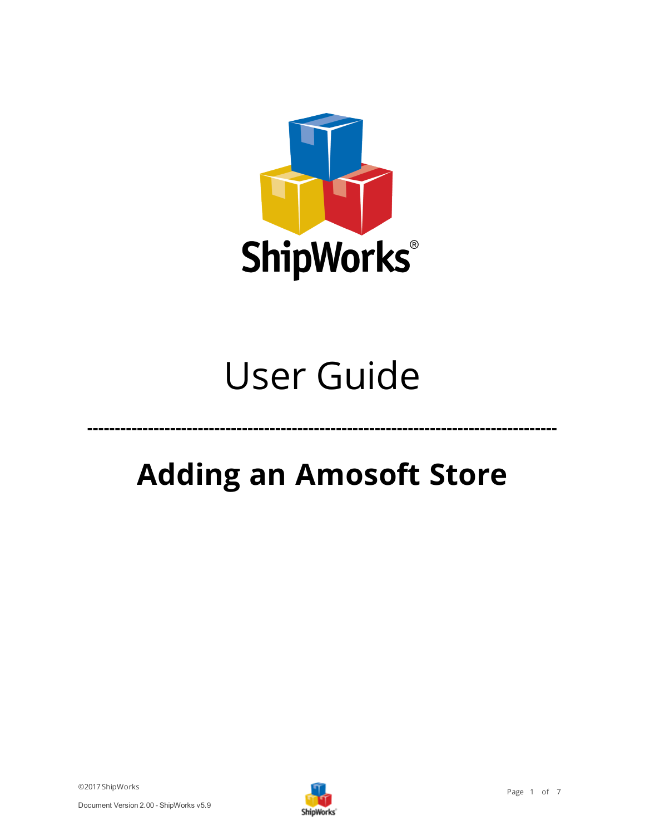

# User Guide

## **Adding an Amosoft Store**

**-------------------------------------------------------------------------------------**

©2017 ShipWorks

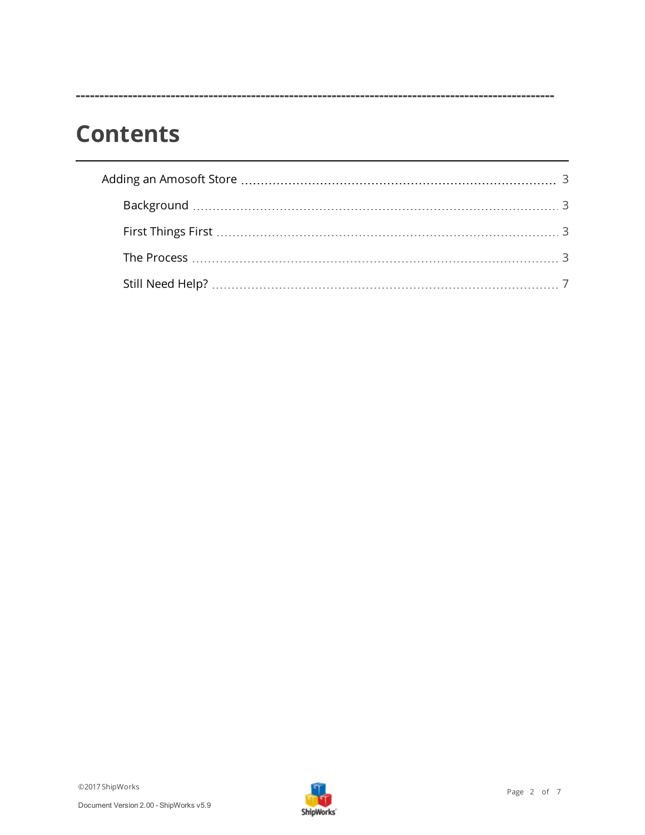### **Contents**

**-----------------------------------------------------------------------------------------------------**

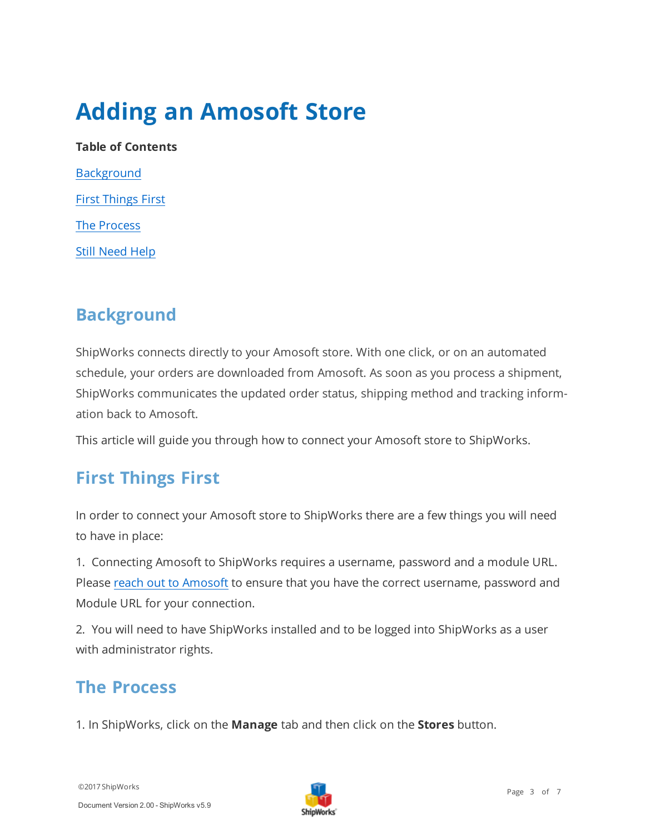## <span id="page-2-0"></span>**Adding an Amosoft Store**

**Table of Contents [Background](#page-2-1)** First [Things](#page-2-2) First The [Process](#page-2-3) Still [Need](#page-6-1) Help

### <span id="page-2-1"></span>**Background**

ShipWorks connects directly to your Amosoft store. With one click, or on an automated schedule, your orders are downloaded from Amosoft. As soon as you process a shipment, ShipWorks communicates the updated order status, shipping method and tracking information back to Amosoft.

<span id="page-2-2"></span>This article will guide you through how to connect your Amosoft store to ShipWorks.

#### **First Things First**

In order to connect your Amosoft store to ShipWorks there are a few things you will need to have in place:

1. Connecting Amosoft to ShipWorks requires a username, password and a module URL. Please reach out to [Amosoft](https://www.amosoft.com/#contact) to ensure that you have the correct username, password and Module URL for your connection.

<span id="page-2-3"></span>2. You will need to have ShipWorks installed and to be logged into ShipWorks as a user with administrator rights.

#### **The Process**

1. In ShipWorks, click on the **Manage** tab and then click on the **Stores** button.

©2017 ShipWorks

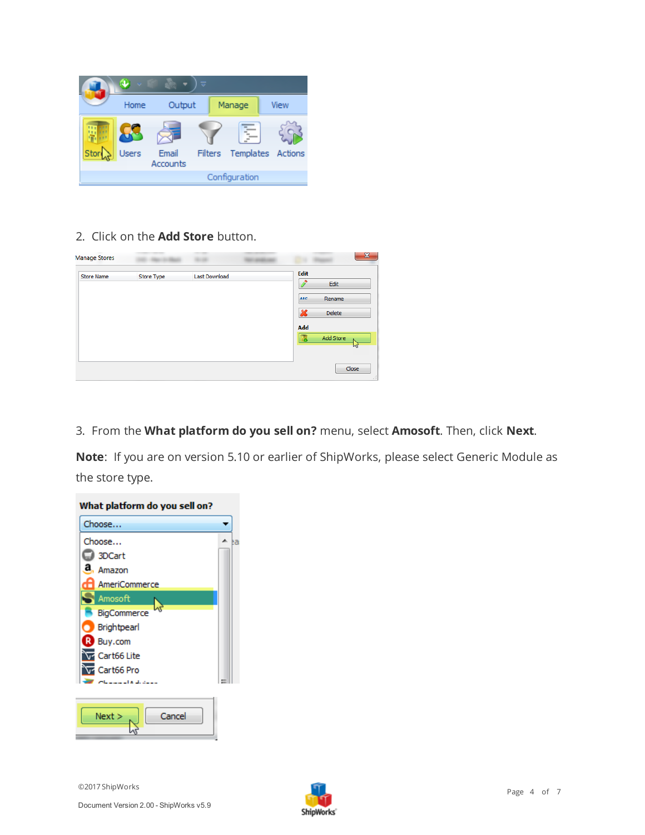

#### 2. Click on the **Add Store** button.

| <b>Manage Stores</b> |            |               |                          | $\mathbf{x}$   |
|----------------------|------------|---------------|--------------------------|----------------|
| <b>Store Name</b>    | Store Type | Last Download | <b>Edit</b>              | Edit           |
|                      |            |               | <b>ABC</b>               | Rename         |
|                      |            |               | $\boldsymbol{\varkappa}$ | Delete         |
|                      |            |               | Add                      |                |
|                      |            |               | ĿБ                       | Add Store<br>M |
|                      |            |               |                          | Close          |

3. From the **What platform do you sell on?** menu, select **Amosoft**. Then, click **Next**.

**Note**: If you are on version 5.10 or earlier of ShipWorks, please select Generic Module as the store type.



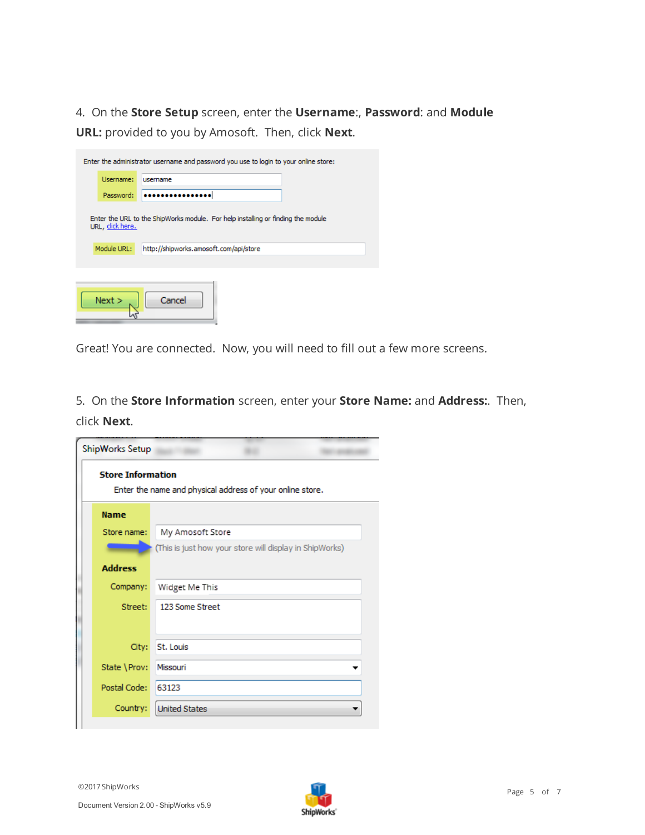4. On the **Store Setup** screen, enter the **Username**:, **Password**: and **Module URL:** provided to you by Amosoft. Then, click **Next**.

| Enter the administrator username and password you use to login to your online store: |                                                                                                      |                                        |  |  |  |
|--------------------------------------------------------------------------------------|------------------------------------------------------------------------------------------------------|----------------------------------------|--|--|--|
|                                                                                      | Username:                                                                                            | username                               |  |  |  |
|                                                                                      | Password:                                                                                            |                                        |  |  |  |
|                                                                                      | Enter the URL to the ShipWorks module. For help installing or finding the module<br>URL, click here. |                                        |  |  |  |
|                                                                                      | Module URL:                                                                                          | http://shipworks.amosoft.com/api/store |  |  |  |
|                                                                                      |                                                                                                      |                                        |  |  |  |
|                                                                                      | Next >                                                                                               | Cancel                                 |  |  |  |

Great! You are connected. Now, you will need to fill out a few more screens.

5. On the **Store Information** screen, enter your **Store Name:** and **Address:**. Then, click **Next**.

| ShipWorks Setup          |                                                           |  |
|--------------------------|-----------------------------------------------------------|--|
| <b>Store Information</b> | Enter the name and physical address of your online store. |  |
| <b>Name</b>              |                                                           |  |
| Store name:              | My Amosoft Store                                          |  |
|                          | (This is just how your store will display in ShipWorks)   |  |
| <b>Address</b>           |                                                           |  |
| Company:                 | Widget Me This                                            |  |
| Street:                  | 123 Some Street                                           |  |
|                          |                                                           |  |
| City:                    | St. Louis                                                 |  |
| State \Prov:             | Missouri                                                  |  |
| Postal Code:             | 63123                                                     |  |
| Country:                 | <b>United States</b>                                      |  |
|                          |                                                           |  |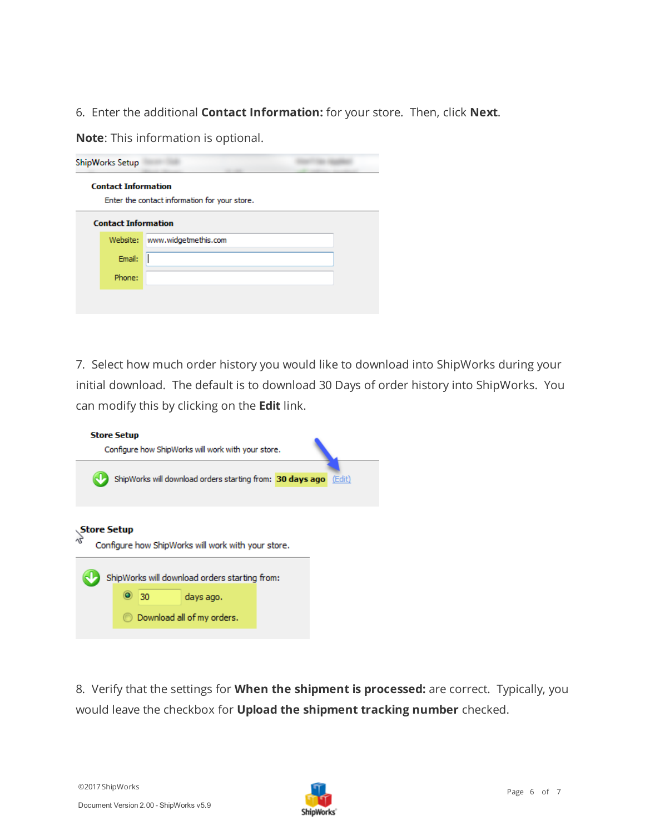6. Enter the additional **Contact Information:** for your store. Then, click **Next**.

**Note**: This information is optional.

| ShipWorks Setup |                                                                             |                      |  |  |  |  |
|-----------------|-----------------------------------------------------------------------------|----------------------|--|--|--|--|
|                 | <b>Contact Information</b><br>Enter the contact information for your store. |                      |  |  |  |  |
|                 | <b>Contact Information</b>                                                  |                      |  |  |  |  |
|                 | Website:                                                                    | www.widgetmethis.com |  |  |  |  |
|                 | Email:                                                                      |                      |  |  |  |  |
|                 | Phone:                                                                      |                      |  |  |  |  |
|                 |                                                                             |                      |  |  |  |  |
|                 |                                                                             |                      |  |  |  |  |

7. Select how much order history you would like to download into ShipWorks during your initial download. The default is to download 30 Days of order history into ShipWorks. You can modify this by clicking on the **Edit** link.

|                                                                                                                                              | <b>Store Setup</b><br>Configure how ShipWorks will work with your store. |        |  |  |  |
|----------------------------------------------------------------------------------------------------------------------------------------------|--------------------------------------------------------------------------|--------|--|--|--|
|                                                                                                                                              | ShipWorks will download orders starting from: 30 days ago                | (Edit) |  |  |  |
| <b>Store Setup</b><br>Configure how ShipWorks will work with your store.<br>ShipWorks will download orders starting from:<br>30<br>days ago. |                                                                          |        |  |  |  |
|                                                                                                                                              | Download all of my orders.                                               |        |  |  |  |

8. Verify that the settings for **When the shipment is processed:** are correct. Typically, you would leave the checkbox for **Upload the shipment tracking number** checked.

©2017 ShipWorks